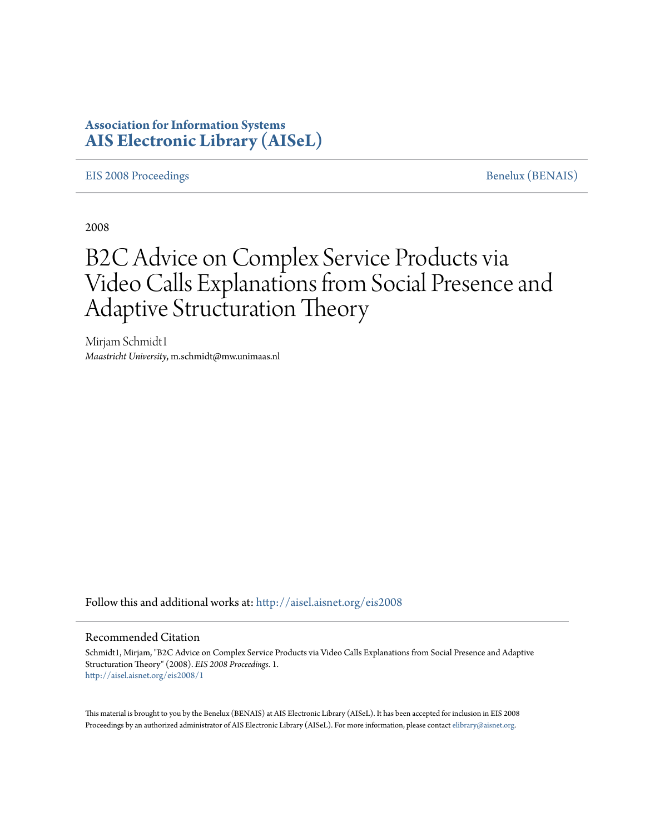# **Association for Information Systems [AIS Electronic Library \(AISeL\)](http://aisel.aisnet.org?utm_source=aisel.aisnet.org%2Feis2008%2F1&utm_medium=PDF&utm_campaign=PDFCoverPages)**

### [EIS 2008 Proceedings](http://aisel.aisnet.org/eis2008?utm_source=aisel.aisnet.org%2Feis2008%2F1&utm_medium=PDF&utm_campaign=PDFCoverPages) [Benelux \(BENAIS\)](http://aisel.aisnet.org/benais?utm_source=aisel.aisnet.org%2Feis2008%2F1&utm_medium=PDF&utm_campaign=PDFCoverPages)

2008

# B2C Advice on Complex Service Products via Video Calls Explanations from Social Presence and Adaptive Structuration Theory

Mirjam Schmidt1 *Maastricht University*, m.schmidt@mw.unimaas.nl

Follow this and additional works at: [http://aisel.aisnet.org/eis2008](http://aisel.aisnet.org/eis2008?utm_source=aisel.aisnet.org%2Feis2008%2F1&utm_medium=PDF&utm_campaign=PDFCoverPages)

### Recommended Citation

Schmidt1, Mirjam, "B2C Advice on Complex Service Products via Video Calls Explanations from Social Presence and Adaptive Structuration Theory" (2008). *EIS 2008 Proceedings*. 1. [http://aisel.aisnet.org/eis2008/1](http://aisel.aisnet.org/eis2008/1?utm_source=aisel.aisnet.org%2Feis2008%2F1&utm_medium=PDF&utm_campaign=PDFCoverPages)

This material is brought to you by the Benelux (BENAIS) at AIS Electronic Library (AISeL). It has been accepted for inclusion in EIS 2008 Proceedings by an authorized administrator of AIS Electronic Library (AISeL). For more information, please contact [elibrary@aisnet.org](mailto:elibrary@aisnet.org%3E).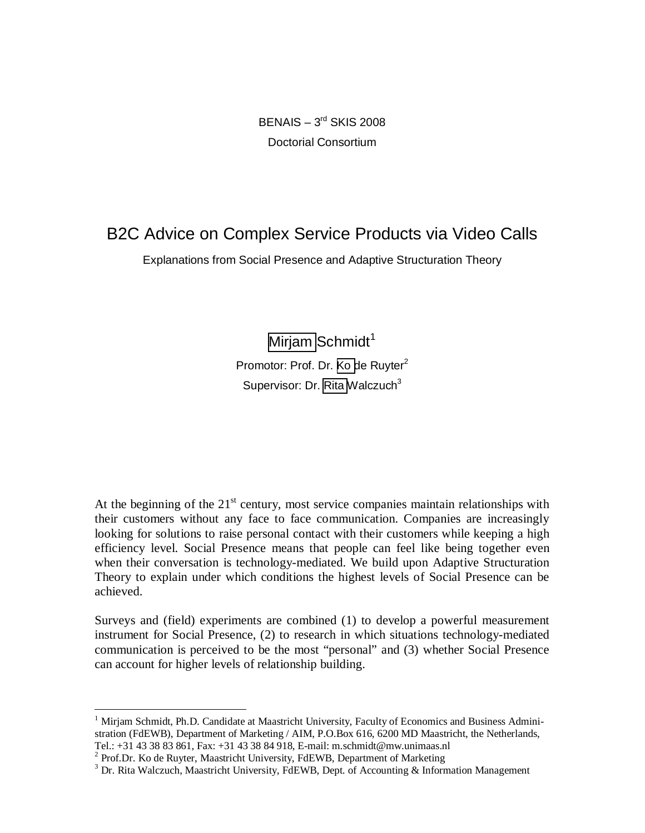$BENAIS - 3<sup>rd</sup> SKIS 2008$ Doctorial Consortium

# B2C Advice on Complex Service Products via Video Calls

Explanations from Social Presence and Adaptive Structuration Theory

[Mirjam](#page-1-0) Schmidt<sup>1</sup> Promotor: Prof. Dr. [Ko d](#page-1-1)e Ruyter<sup>2</sup> Supervisor: Dr. [Rita](#page-1-2) Walczuch $3$ 

At the beginning of the  $21<sup>st</sup>$  century, most service companies maintain relationships with their customers without any face to face communication. Companies are increasingly looking for solutions to raise personal contact with their customers while keeping a high efficiency level. Social Presence means that people can feel like being together even when their conversation is technology-mediated. We build upon Adaptive Structuration Theory to explain under which conditions the highest levels of Social Presence can be achieved.

Surveys and (field) experiments are combined (1) to develop a powerful measurement instrument for Social Presence, (2) to research in which situations technology-mediated communication is perceived to be the most "personal" and (3) whether Social Presence can account for higher levels of relationship building.

<span id="page-1-0"></span><sup>&</sup>lt;sup>1</sup> Mirjam Schmidt, Ph.D. Candidate at Maastricht University, Faculty of Economics and Business Administration (FdEWB), Department of Marketing / AIM, P.O.Box 616, 6200 MD Maastricht, the Netherlands, Tel.: +31 43 38 83 861, Fax: +31 43 38 84 918, E-mail: m.schmidt@mw.unimaas.nl

<span id="page-1-1"></span> $2$  Prof.Dr. Ko de Ruyter, Maastricht University, FdEWB, Department of Marketing

<span id="page-1-2"></span><sup>&</sup>lt;sup>3</sup> Dr. Rita Walczuch, Maastricht University, FdEWB, Dept. of Accounting & Information Management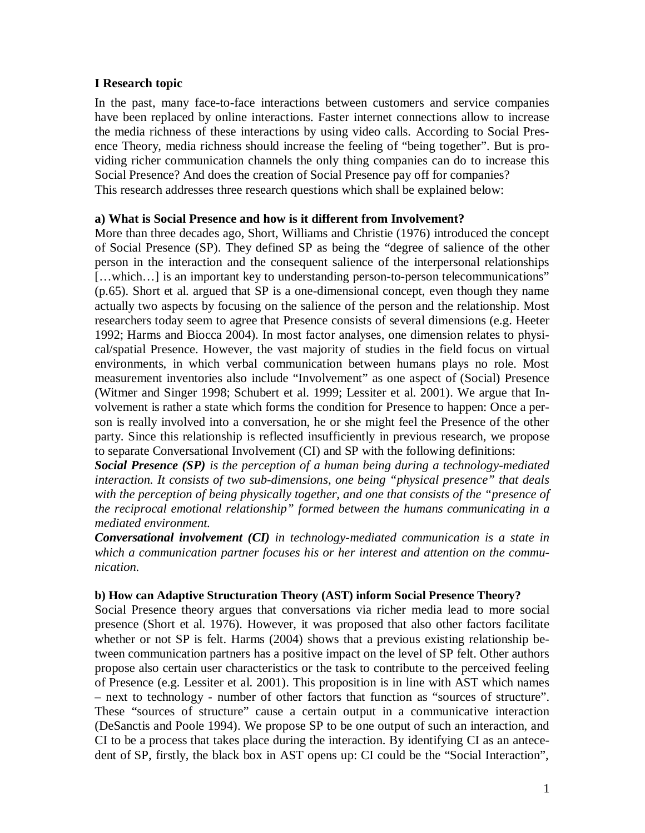### **I Research topic**

In the past, many face-to-face interactions between customers and service companies have been replaced by online interactions. Faster internet connections allow to increase the media richness of these interactions by using video calls. According to Social Presence Theory, media richness should increase the feeling of "being together". But is providing richer communication channels the only thing companies can do to increase this Social Presence? And does the creation of Social Presence pay off for companies? This research addresses three research questions which shall be explained below:

### **a) What is Social Presence and how is it different from Involvement?**

More than three decades ago, Short, Williams and Christie (1976) introduced the concept of Social Presence (SP). They defined SP as being the "degree of salience of the other person in the interaction and the consequent salience of the interpersonal relationships [...which...] is an important key to understanding person-to-person telecommunications" (p.65). Short et al. argued that SP is a one-dimensional concept, even though they name actually two aspects by focusing on the salience of the person and the relationship. Most researchers today seem to agree that Presence consists of several dimensions (e.g. Heeter 1992; Harms and Biocca 2004). In most factor analyses, one dimension relates to physical/spatial Presence. However, the vast majority of studies in the field focus on virtual environments, in which verbal communication between humans plays no role. Most measurement inventories also include "Involvement" as one aspect of (Social) Presence (Witmer and Singer 1998; Schubert et al. 1999; Lessiter et al. 2001). We argue that Involvement is rather a state which forms the condition for Presence to happen: Once a person is really involved into a conversation, he or she might feel the Presence of the other party. Since this relationship is reflected insufficiently in previous research, we propose to separate Conversational Involvement (CI) and SP with the following definitions:

*Social Presence (SP) is the perception of a human being during a technology-mediated interaction. It consists of two sub-dimensions, one being "physical presence" that deals with the perception of being physically together, and one that consists of the "presence of the reciprocal emotional relationship" formed between the humans communicating in a mediated environment.*

*Conversational involvement (CI) in technology-mediated communication is a state in which a communication partner focuses his or her interest and attention on the communication.*

### **b) How can Adaptive Structuration Theory (AST) inform Social Presence Theory?**

Social Presence theory argues that conversations via richer media lead to more social presence (Short et al. 1976). However, it was proposed that also other factors facilitate whether or not SP is felt. Harms (2004) shows that a previous existing relationship between communication partners has a positive impact on the level of SP felt. Other authors propose also certain user characteristics or the task to contribute to the perceived feeling of Presence (e.g. Lessiter et al. 2001). This proposition is in line with AST which names – next to technology - number of other factors that function as "sources of structure". These "sources of structure" cause a certain output in a communicative interaction (DeSanctis and Poole 1994). We propose SP to be one output of such an interaction, and CI to be a process that takes place during the interaction. By identifying CI as an antecedent of SP, firstly, the black box in AST opens up: CI could be the "Social Interaction",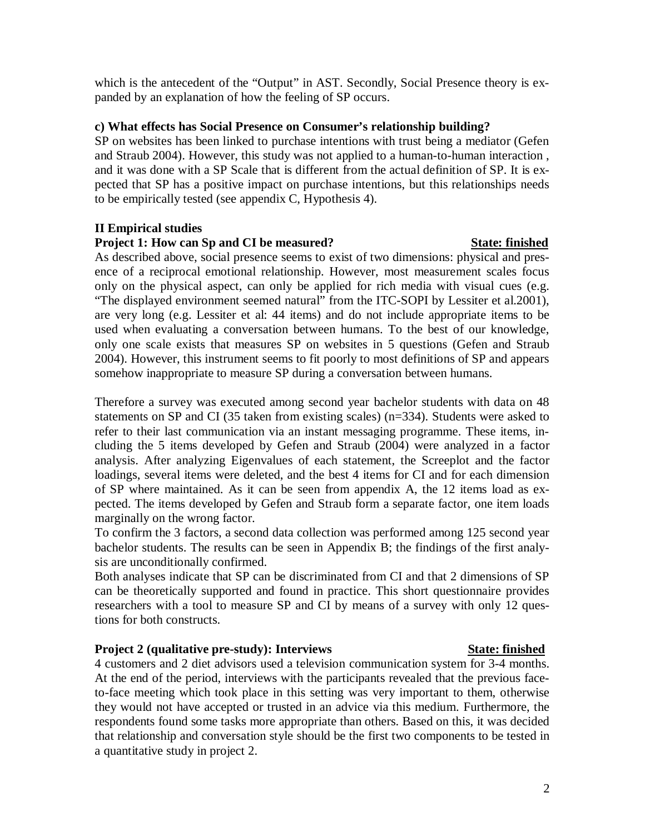which is the antecedent of the "Output" in AST. Secondly, Social Presence theory is expanded by an explanation of how the feeling of SP occurs.

### **c) What effects has Social Presence on Consumer's relationship building?**

SP on websites has been linked to purchase intentions with trust being a mediator (Gefen and Straub 2004). However, this study was not applied to a human-to-human interaction , and it was done with a SP Scale that is different from the actual definition of SP. It is expected that SP has a positive impact on purchase intentions, but this relationships needs to be empirically tested (see appendix C, Hypothesis 4).

### **II Empirical studies**

### **Project 1: How can Sp and CI be measured?** State: finished

As described above, social presence seems to exist of two dimensions: physical and presence of a reciprocal emotional relationship. However, most measurement scales focus only on the physical aspect, can only be applied for rich media with visual cues (e.g. "The displayed environment seemed natural" from the ITC-SOPI by Lessiter et al.2001), are very long (e.g. Lessiter et al: 44 items) and do not include appropriate items to be used when evaluating a conversation between humans. To the best of our knowledge, only one scale exists that measures SP on websites in 5 questions (Gefen and Straub 2004). However, this instrument seems to fit poorly to most definitions of SP and appears somehow inappropriate to measure SP during a conversation between humans.

Therefore a survey was executed among second year bachelor students with data on 48 statements on SP and CI (35 taken from existing scales) (n=334). Students were asked to refer to their last communication via an instant messaging programme. These items, including the 5 items developed by Gefen and Straub (2004) were analyzed in a factor analysis. After analyzing Eigenvalues of each statement, the Screeplot and the factor loadings, several items were deleted, and the best 4 items for CI and for each dimension of SP where maintained. As it can be seen from appendix A, the 12 items load as expected. The items developed by Gefen and Straub form a separate factor, one item loads marginally on the wrong factor.

To confirm the 3 factors, a second data collection was performed among 125 second year bachelor students. The results can be seen in Appendix B; the findings of the first analysis are unconditionally confirmed.

Both analyses indicate that SP can be discriminated from CI and that 2 dimensions of SP can be theoretically supported and found in practice. This short questionnaire provides researchers with a tool to measure SP and CI by means of a survey with only 12 questions for both constructs.

### **Project 2 (qualitative pre-study): Interviews State: State: finished**

4 customers and 2 diet advisors used a television communication system for 3-4 months. At the end of the period, interviews with the participants revealed that the previous faceto-face meeting which took place in this setting was very important to them, otherwise they would not have accepted or trusted in an advice via this medium. Furthermore, the respondents found some tasks more appropriate than others. Based on this, it was decided that relationship and conversation style should be the first two components to be tested in a quantitative study in project 2.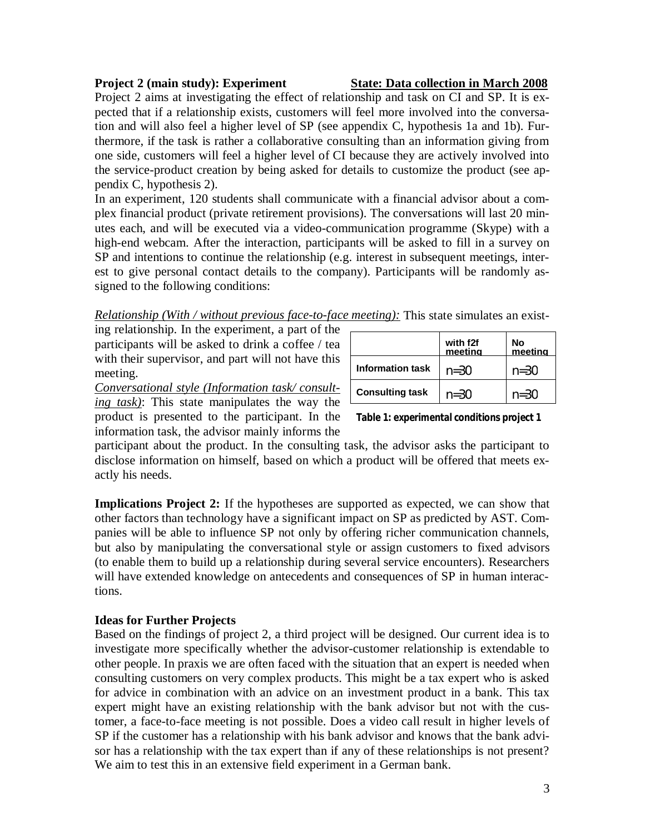# **Project 2 (main study): Experiment State: Data collection in March 2008**

Project 2 aims at investigating the effect of relationship and task on CI and SP. It is expected that if a relationship exists, customers will feel more involved into the conversation and will also feel a higher level of SP (see appendix C, hypothesis 1a and 1b). Furthermore, if the task is rather a collaborative consulting than an information giving from one side, customers will feel a higher level of CI because they are actively involved into the service-product creation by being asked for details to customize the product (see appendix C, hypothesis 2).

In an experiment, 120 students shall communicate with a financial advisor about a complex financial product (private retirement provisions). The conversations will last 20 minutes each, and will be executed via a video-communication programme (Skype) with a high-end webcam. After the interaction, participants will be asked to fill in a survey on SP and intentions to continue the relationship (e.g. interest in subsequent meetings, interest to give personal contact details to the company). Participants will be randomly assigned to the following conditions:

*Relationship (With / without previous face-to-face meeting):* This state simulates an exist-

ing relationship. In the experiment, a part of the participants will be asked to drink a coffee / tea with their supervisor, and part will not have this meeting.

*Conversational style (Information task/ consulting task)*: This state manipulates the way the product is presented to the participant. In the information task, the advisor mainly informs the

|                         | with f2f<br>meeting | No<br>meeting |
|-------------------------|---------------------|---------------|
| <b>Information task</b> | $n = 30$            | $n = 30$      |
| <b>Consulting task</b>  | $n = 30$            | $n = 30$      |

**Table 1: experimental conditions project 1**

participant about the product. In the consulting task, the advisor asks the participant to disclose information on himself, based on which a product will be offered that meets exactly his needs.

**Implications Project 2:** If the hypotheses are supported as expected, we can show that other factors than technology have a significant impact on SP as predicted by AST. Companies will be able to influence SP not only by offering richer communication channels, but also by manipulating the conversational style or assign customers to fixed advisors (to enable them to build up a relationship during several service encounters). Researchers will have extended knowledge on antecedents and consequences of SP in human interactions.

### **Ideas for Further Projects**

Based on the findings of project 2, a third project will be designed. Our current idea is to investigate more specifically whether the advisor-customer relationship is extendable to other people. In praxis we are often faced with the situation that an expert is needed when consulting customers on very complex products. This might be a tax expert who is asked for advice in combination with an advice on an investment product in a bank. This tax expert might have an existing relationship with the bank advisor but not with the customer, a face-to-face meeting is not possible. Does a video call result in higher levels of SP if the customer has a relationship with his bank advisor and knows that the bank advisor has a relationship with the tax expert than if any of these relationships is not present? We aim to test this in an extensive field experiment in a German bank.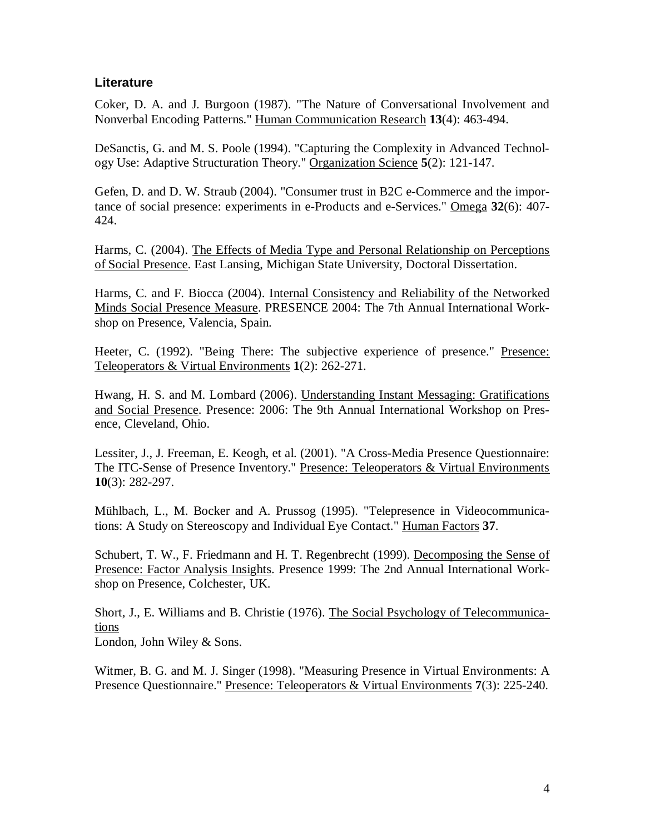### **Literature**

Coker, D. A. and J. Burgoon (1987). "The Nature of Conversational Involvement and Nonverbal Encoding Patterns." Human Communication Research **13**(4): 463-494.

DeSanctis, G. and M. S. Poole (1994). "Capturing the Complexity in Advanced Technology Use: Adaptive Structuration Theory." Organization Science **5**(2): 121-147.

Gefen, D. and D. W. Straub (2004). "Consumer trust in B2C e-Commerce and the importance of social presence: experiments in e-Products and e-Services." Omega **32**(6): 407- 424.

Harms, C. (2004). The Effects of Media Type and Personal Relationship on Perceptions of Social Presence. East Lansing, Michigan State University, Doctoral Dissertation.

Harms, C. and F. Biocca (2004). Internal Consistency and Reliability of the Networked Minds Social Presence Measure. PRESENCE 2004: The 7th Annual International Workshop on Presence, Valencia, Spain.

Heeter, C. (1992). "Being There: The subjective experience of presence." Presence: Teleoperators & Virtual Environments **1**(2): 262-271.

Hwang, H. S. and M. Lombard (2006). Understanding Instant Messaging: Gratifications and Social Presence. Presence: 2006: The 9th Annual International Workshop on Presence, Cleveland, Ohio.

Lessiter, J., J. Freeman, E. Keogh, et al. (2001). "A Cross-Media Presence Questionnaire: The ITC-Sense of Presence Inventory." Presence: Teleoperators & Virtual Environments **10**(3): 282-297.

Mühlbach, L., M. Bocker and A. Prussog (1995). "Telepresence in Videocommunications: A Study on Stereoscopy and Individual Eye Contact." Human Factors **37**.

Schubert, T. W., F. Friedmann and H. T. Regenbrecht (1999). Decomposing the Sense of Presence: Factor Analysis Insights. Presence 1999: The 2nd Annual International Workshop on Presence, Colchester, UK.

Short, J., E. Williams and B. Christie (1976). The Social Psychology of Telecommunications

London, John Wiley & Sons.

Witmer, B. G. and M. J. Singer (1998). "Measuring Presence in Virtual Environments: A Presence Questionnaire." Presence: Teleoperators & Virtual Environments **7**(3): 225-240.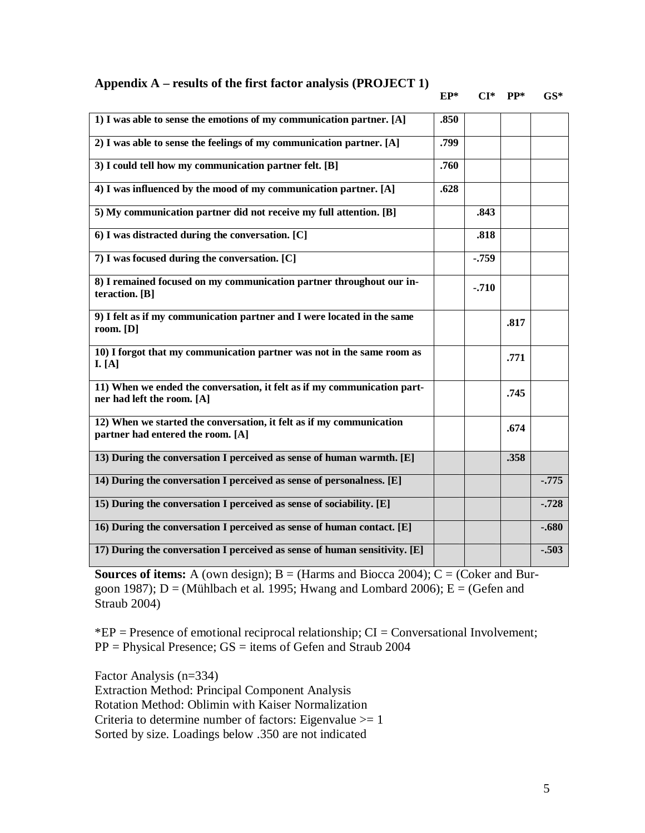**Appendix A – results of the first factor analysis (PROJECT 1)**

### **EP\* CI\* PP\* GS\***

| 1) I was able to sense the emotions of my communication partner. [A]                                      | .850 |          |      |         |
|-----------------------------------------------------------------------------------------------------------|------|----------|------|---------|
| 2) I was able to sense the feelings of my communication partner. [A]                                      |      |          |      |         |
| 3) I could tell how my communication partner felt. [B]                                                    |      |          |      |         |
| 4) I was influenced by the mood of my communication partner. [A]                                          |      |          |      |         |
| 5) My communication partner did not receive my full attention. [B]                                        |      | .843     |      |         |
| 6) I was distracted during the conversation. [C]                                                          |      | .818     |      |         |
| 7) I was focused during the conversation. [C]                                                             |      | $-0.759$ |      |         |
| 8) I remained focused on my communication partner throughout our in-<br>teraction. [B]                    |      | $-.710$  |      |         |
| 9) I felt as if my communication partner and I were located in the same<br>room. $[D]$                    |      |          | .817 |         |
| 10) I forgot that my communication partner was not in the same room as<br>I. [A]                          |      |          | .771 |         |
| 11) When we ended the conversation, it felt as if my communication part-<br>ner had left the room. [A]    |      |          | .745 |         |
| 12) When we started the conversation, it felt as if my communication<br>partner had entered the room. [A] |      |          | .674 |         |
| 13) During the conversation I perceived as sense of human warmth. [E]                                     |      |          | .358 |         |
| 14) During the conversation I perceived as sense of personalness. [E]                                     |      |          |      | $-.775$ |
| 15) During the conversation I perceived as sense of sociability. [E]                                      |      |          |      | $-.728$ |
| 16) During the conversation I perceived as sense of human contact. [E]                                    |      |          |      | $-.680$ |
| 17) During the conversation I perceived as sense of human sensitivity. [E]                                |      |          |      | $-.503$ |

**Sources of items:** A (own design);  $B = (Harms$  and Biocca 2004);  $C = (Coker and Bur$ goon 1987);  $D = (M\ddot{u}hIbach et al. 1995; Hwang and Lombard 2006); E = (Gefen and$ Straub 2004)

 $E =$  Presence of emotional reciprocal relationship;  $CI =$  Conversational Involvement; PP = Physical Presence; GS = items of Gefen and Straub 2004

Factor Analysis (n=334) Extraction Method: Principal Component Analysis Rotation Method: Oblimin with Kaiser Normalization Criteria to determine number of factors: Eigenvalue  $\geq 1$ Sorted by size. Loadings below .350 are not indicated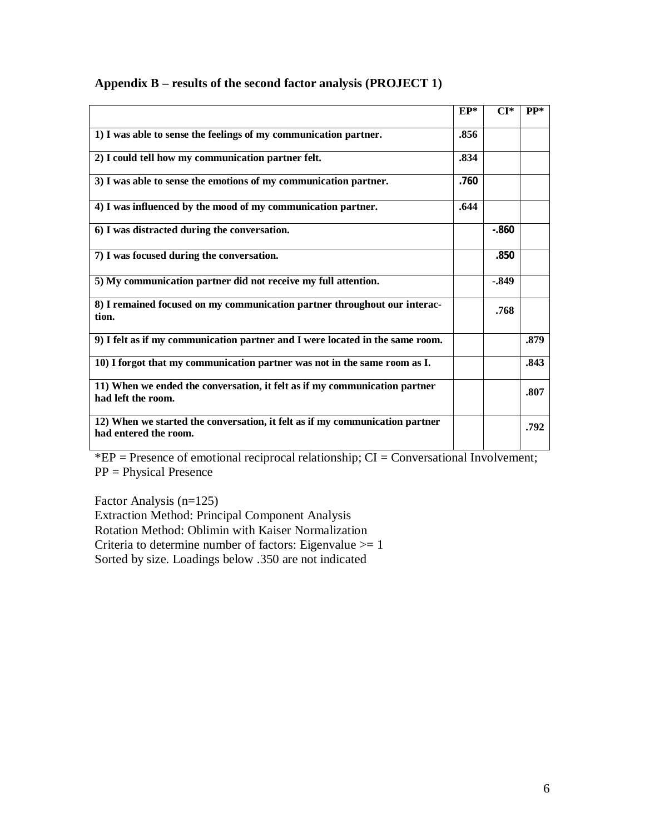|                                                                                                       | $EP*$ | $CI*$    | $PP*$ |
|-------------------------------------------------------------------------------------------------------|-------|----------|-------|
| 1) I was able to sense the feelings of my communication partner.                                      | .856  |          |       |
| 2) I could tell how my communication partner felt.                                                    | .834  |          |       |
| 3) I was able to sense the emotions of my communication partner.                                      | .760  |          |       |
| 4) I was influenced by the mood of my communication partner.                                          | .644  |          |       |
| 6) I was distracted during the conversation.                                                          |       | $-0.860$ |       |
| 7) I was focused during the conversation.                                                             |       | .850     |       |
| 5) My communication partner did not receive my full attention.                                        |       | $-.849$  |       |
| 8) I remained focused on my communication partner throughout our interac-<br>tion.                    |       | .768     |       |
| 9) I felt as if my communication partner and I were located in the same room.                         |       |          | .879  |
| 10) I forgot that my communication partner was not in the same room as I.                             |       |          | .843  |
| 11) When we ended the conversation, it felt as if my communication partner<br>had left the room.      |       |          | .807  |
| 12) When we started the conversation, it felt as if my communication partner<br>had entered the room. |       |          | .792  |

# **Appendix B – results of the second factor analysis (PROJECT 1)**

 $*EP =$  Presence of emotional reciprocal relationship;  $CI =$  Conversational Involvement; PP = Physical Presence

Factor Analysis (n=125) Extraction Method: Principal Component Analysis Rotation Method: Oblimin with Kaiser Normalization Criteria to determine number of factors: Eigenvalue  $>= 1$ Sorted by size. Loadings below .350 are not indicated